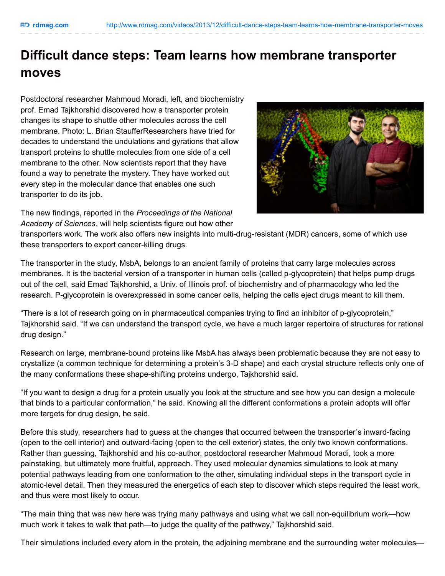## **Difficult dance steps: Team learns how membrane transporter moves**

Postdoctoral researcher Mahmoud Moradi, left, and biochemistry prof. Emad Tajkhorshid discovered how a transporter protein changes its shape to shuttle other molecules across the cell membrane. Photo: L. Brian StaufferResearchers have tried for decades to understand the undulations and gyrations that allow transport proteins to shuttle molecules from one side of a cell membrane to the other. Now scientists report that they have found a way to penetrate the mystery. They have worked out every step in the molecular dance that enables one such transporter to do its job.



The new findings, reported in the *Proceedings of the National Academy of Sciences*, will help scientists figure out how other

transporters work. The work also offers new insights into multi-drug-resistant (MDR) cancers, some of which use these transporters to export cancer-killing drugs.

The transporter in the study, MsbA, belongs to an ancient family of proteins that carry large molecules across membranes. It is the bacterial version of a transporter in human cells (called p-glycoprotein) that helps pump drugs out of the cell, said Emad Tajkhorshid, a Univ. of Illinois prof. of biochemistry and of pharmacology who led the research. P-glycoprotein is overexpressed in some cancer cells, helping the cells eject drugs meant to kill them.

"There is a lot of research going on in pharmaceutical companies trying to find an inhibitor of p-glycoprotein," Tajkhorshid said. "If we can understand the transport cycle, we have a much larger repertoire of structures for rational drug design."

Research on large, membrane-bound proteins like MsbA has always been problematic because they are not easy to crystallize (a common technique for determining a protein's 3-D shape) and each crystal structure reflects only one of the many conformations these shape-shifting proteins undergo, Tajkhorshid said.

"If you want to design a drug for a protein usually you look at the structure and see how you can design a molecule that binds to a particular conformation," he said. Knowing all the different conformations a protein adopts will offer more targets for drug design, he said.

Before this study, researchers had to guess at the changes that occurred between the transporter's inward-facing (open to the cell interior) and outward-facing (open to the cell exterior) states, the only two known conformations. Rather than guessing, Tajkhorshid and his co-author, postdoctoral researcher Mahmoud Moradi, took a more painstaking, but ultimately more fruitful, approach. They used molecular dynamics simulations to look at many potential pathways leading from one conformation to the other, simulating individual steps in the transport cycle in atomic-level detail. Then they measured the energetics of each step to discover which steps required the least work, and thus were most likely to occur.

"The main thing that was new here was trying many pathways and using what we call non-equilibrium work—how much work it takes to walk that path—to judge the quality of the pathway," Tajkhorshid said.

Their simulations included every atom in the protein, the adjoining membrane and the surrounding water molecules—